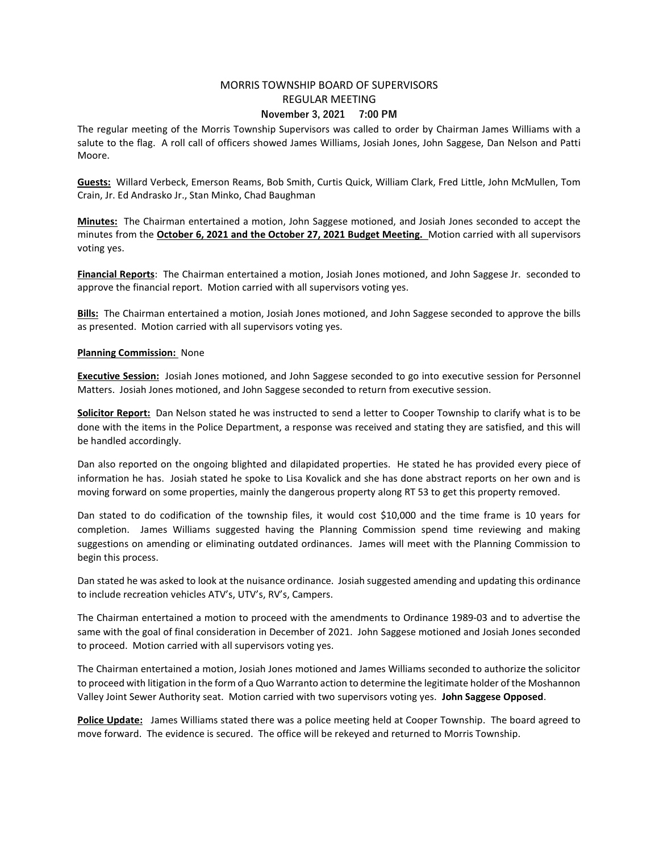## MORRIS TOWNSHIP BOARD OF SUPERVISORS REGULAR MEETING November 3, 2021 7:00 PM

The regular meeting of the Morris Township Supervisors was called to order by Chairman James Williams with a salute to the flag. A roll call of officers showed James Williams, Josiah Jones, John Saggese, Dan Nelson and Patti Moore.

Guests: Willard Verbeck, Emerson Reams, Bob Smith, Curtis Quick, William Clark, Fred Little, John McMullen, Tom Crain, Jr. Ed Andrasko Jr., Stan Minko, Chad Baughman

Minutes: The Chairman entertained a motion, John Saggese motioned, and Josiah Jones seconded to accept the minutes from the October 6, 2021 and the October 27, 2021 Budget Meeting. Motion carried with all supervisors voting yes.

Financial Reports: The Chairman entertained a motion, Josiah Jones motioned, and John Saggese Jr. seconded to approve the financial report. Motion carried with all supervisors voting yes.

Bills: The Chairman entertained a motion, Josiah Jones motioned, and John Saggese seconded to approve the bills as presented. Motion carried with all supervisors voting yes.

## Planning Commission: None

**Executive Session:** Josiah Jones motioned, and John Saggese seconded to go into executive session for Personnel Matters. Josiah Jones motioned, and John Saggese seconded to return from executive session.

Solicitor Report: Dan Nelson stated he was instructed to send a letter to Cooper Township to clarify what is to be done with the items in the Police Department, a response was received and stating they are satisfied, and this will be handled accordingly.

Dan also reported on the ongoing blighted and dilapidated properties. He stated he has provided every piece of information he has. Josiah stated he spoke to Lisa Kovalick and she has done abstract reports on her own and is moving forward on some properties, mainly the dangerous property along RT 53 to get this property removed.

Dan stated to do codification of the township files, it would cost \$10,000 and the time frame is 10 years for completion. James Williams suggested having the Planning Commission spend time reviewing and making suggestions on amending or eliminating outdated ordinances. James will meet with the Planning Commission to begin this process.

Dan stated he was asked to look at the nuisance ordinance. Josiah suggested amending and updating this ordinance to include recreation vehicles ATV's, UTV's, RV's, Campers.

The Chairman entertained a motion to proceed with the amendments to Ordinance 1989-03 and to advertise the same with the goal of final consideration in December of 2021. John Saggese motioned and Josiah Jones seconded to proceed. Motion carried with all supervisors voting yes.

The Chairman entertained a motion, Josiah Jones motioned and James Williams seconded to authorize the solicitor to proceed with litigation in the form of a Quo Warranto action to determine the legitimate holder of the Moshannon Valley Joint Sewer Authority seat. Motion carried with two supervisors voting yes. John Saggese Opposed.

Police Update: James Williams stated there was a police meeting held at Cooper Township. The board agreed to move forward. The evidence is secured. The office will be rekeyed and returned to Morris Township.